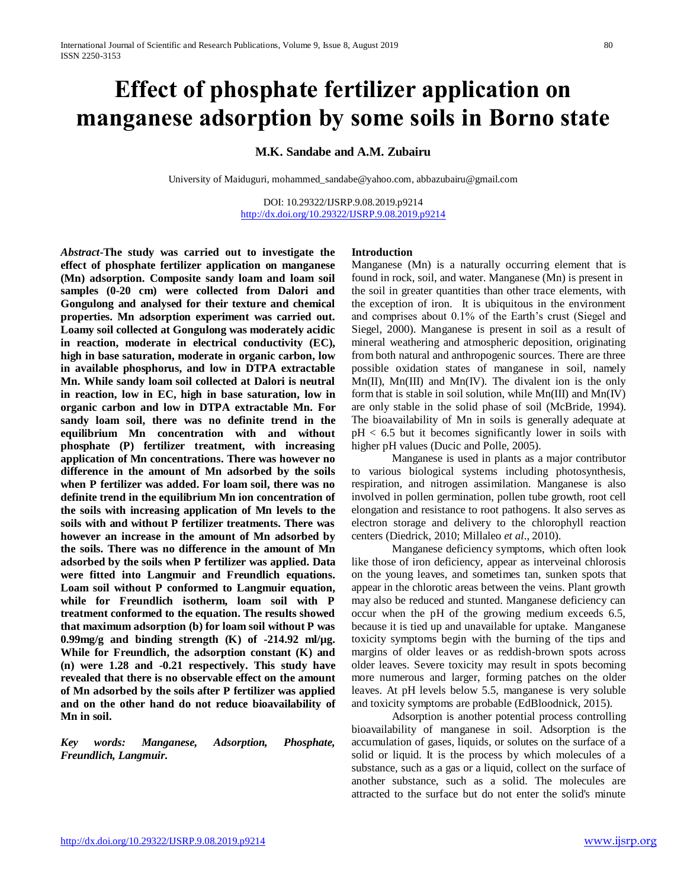# **Effect of phosphate fertilizer application on manganese adsorption by some soils in Borno state**

**M.K. Sandabe and A.M. Zubairu**

University of Maiduguri[, mohammed\\_sandabe@yahoo.com,](mailto:mohammed_sandabe@yahoo.com) [abbazubairu@gmail.com](mailto:abbazubairu@gmail.com)

DOI: 10.29322/IJSRP.9.08.2019.p9214 <http://dx.doi.org/10.29322/IJSRP.9.08.2019.p9214>

*Abstract***-The study was carried out to investigate the effect of phosphate fertilizer application on manganese (Mn) adsorption. Composite sandy loam and loam soil samples (0-20 cm) were collected from Dalori and Gongulong and analysed for their texture and chemical properties. Mn adsorption experiment was carried out. Loamy soil collected at Gongulong was moderately acidic in reaction, moderate in electrical conductivity (EC), high in base saturation, moderate in organic carbon, low in available phosphorus, and low in DTPA extractable Mn. While sandy loam soil collected at Dalori is neutral in reaction, low in EC, high in base saturation, low in organic carbon and low in DTPA extractable Mn. For sandy loam soil, there was no definite trend in the equilibrium Mn concentration with and without phosphate (P) fertilizer treatment, with increasing application of Mn concentrations. There was however no difference in the amount of Mn adsorbed by the soils when P fertilizer was added. For loam soil, there was no definite trend in the equilibrium Mn ion concentration of the soils with increasing application of Mn levels to the soils with and without P fertilizer treatments. There was however an increase in the amount of Mn adsorbed by the soils. There was no difference in the amount of Mn adsorbed by the soils when P fertilizer was applied. Data were fitted into Langmuir and Freundlich equations. Loam soil without P conformed to Langmuir equation, while for Freundlich isotherm, loam soil with P treatment conformed to the equation. The results showed that maximum adsorption (b) for loam soil without P was 0.99mg/g and binding strength (K) of -214.92 ml/µg. While for Freundlich, the adsorption constant (K) and (n) were 1.28 and -0.21 respectively. This study have revealed that there is no observable effect on the amount of Mn adsorbed by the soils after P fertilizer was applied and on the other hand do not reduce bioavailability of Mn in soil.**

*Key words: Manganese, Adsorption, Phosphate, Freundlich, Langmuir.*

#### **Introduction**

Manganese (Mn) is a naturally occurring element that is found in rock, soil, and water. Manganese (Mn) is present in the soil in greater quantities than other trace elements, with the exception of iron. It is ubiquitous in the environment and comprises about 0.1% of the Earth's crust (Siegel and Siegel, 2000). Manganese is present in soil as a result of mineral weathering and atmospheric deposition, originating from both natural and anthropogenic sources. There are three possible oxidation states of manganese in soil, namely  $Mn(III)$ ,  $Mn(III)$  and  $Mn(IV)$ . The divalent ion is the only form that is stable in soil solution, while Mn(III) and Mn(IV) are only stable in the solid phase of soil (McBride, 1994). The bioavailability of Mn in soils is generally adequate at  $pH < 6.5$  but it becomes significantly lower in soils with higher pH values (Ducic and Polle, 2005).

Manganese is used in plants as a major contributor to various biological systems including photosynthesis, respiration, and nitrogen assimilation. Manganese is also involved in pollen germination, pollen tube growth, root cell elongation and resistance to root pathogens. It also serves as electron storage and delivery to the chlorophyll reaction centers (Diedrick, 2010; Millaleo *et al*., 2010).

Manganese deficiency symptoms, which often look like those of iron deficiency, appear as interveinal chlorosis on the young leaves, and sometimes tan, sunken spots that appear in the chlorotic areas between the veins. Plant growth may also be reduced and stunted. Manganese deficiency can occur when the pH of the growing medium exceeds 6.5, because it is tied up and unavailable for uptake. Manganese toxicity symptoms begin with the burning of the tips and margins of older leaves or as reddish-brown spots across older leaves. Severe toxicity may result in spots becoming more numerous and larger, forming patches on the older leaves. At pH levels below 5.5, manganese is very soluble and toxicity symptoms are probable (EdBloodnick, 2015).

Adsorption is another potential process controlling bioavailability of manganese in soil. Adsorption is the accumulation of gases, liquids, or solutes on the surface of a solid or liquid. It is the process by which molecules of a substance, such as a gas or a liquid, collect on the surface of another substance, such as a solid. The molecules are attracted to the surface but do not enter the solid's minute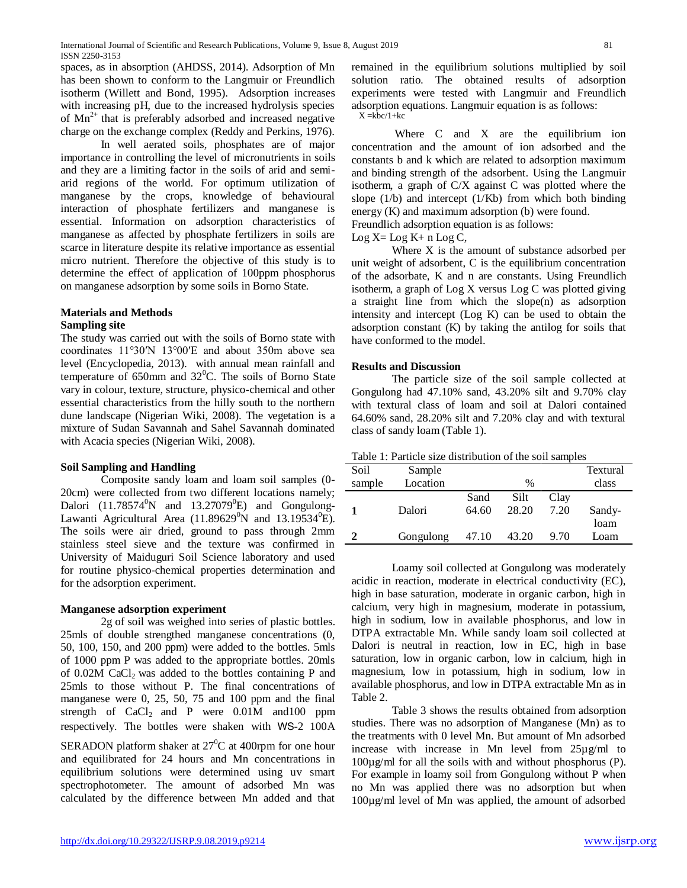spaces, as in absorption (AHDSS, 2014). Adsorption of Mn has been shown to conform to the Langmuir or Freundlich isotherm (Willett and Bond, 1995). Adsorption increases with increasing pH, due to the increased hydrolysis species of  $Mn^{2+}$  that is preferably adsorbed and increased negative charge on the exchange complex (Reddy and Perkins, 1976).

In well aerated soils, phosphates are of major importance in controlling the level of micronutrients in soils and they are a limiting factor in the soils of arid and semiarid regions of the world. For optimum utilization of manganese by the crops, knowledge of behavioural interaction of phosphate fertilizers and manganese is essential. Information on adsorption characteristics of manganese as affected by phosphate fertilizers in soils are scarce in literature despite its relative importance as essential micro nutrient. Therefore the objective of this study is to determine the effect of application of 100ppm phosphorus on manganese adsorption by some soils in Borno State.

#### **Materials and Methods Sampling site**

The study was carried out with the soils of Borno state with coordinates 11°30′N 13°00′E and about 350m above sea level (Encyclopedia, 2013). with annual mean rainfall and temperature of 650mm and  $32^{\circ}$ C. The soils of Borno State vary in colour, texture, structure, physico-chemical and other essential characteristics from the hilly south to the northern dune landscape (Nigerian Wiki, 2008). The vegetation is a mixture of Sudan Savannah and Sahel Savannah dominated with Acacia species (Nigerian Wiki, 2008).

## **Soil Sampling and Handling**

Composite sandy loam and loam soil samples (0- 20cm) were collected from two different locations namely; Dalori  $(11.78574^0N$  and  $13.27079^0E$ ) and Gongulong-Lawanti Agricultural Area (11.89629 $\rm{^0N}$  and 13.19534 $\rm{^0E}$ ). The soils were air dried, ground to pass through 2mm stainless steel sieve and the texture was confirmed in University of Maiduguri Soil Science laboratory and used for routine physico-chemical properties determination and for the adsorption experiment.

## **Manganese adsorption experiment**

2g of soil was weighed into series of plastic bottles. 25mls of double strengthed manganese concentrations (0, 50, 100, 150, and 200 ppm) were added to the bottles. 5mls of 1000 ppm P was added to the appropriate bottles. 20mls of  $0.02M$  CaCl<sub>2</sub> was added to the bottles containing P and 25mls to those without P. The final concentrations of manganese were 0, 25, 50, 75 and 100 ppm and the final strength of  $CaCl<sub>2</sub>$  and P were  $0.01M$  and  $100$  ppm respectively. The bottles were shaken with WS-2 100A

SERADON platform shaker at  $27^0C$  at 400rpm for one hour and equilibrated for 24 hours and Mn concentrations in equilibrium solutions were determined using uv smart spectrophotometer. The amount of adsorbed Mn was calculated by the difference between Mn added and that

remained in the equilibrium solutions multiplied by soil solution ratio. The obtained results of adsorption experiments were tested with Langmuir and Freundlich adsorption equations. Langmuir equation is as follows:  $X = k\bar{b}c/1+kc$ 

Where C and X are the equilibrium ion concentration and the amount of ion adsorbed and the constants b and k which are related to adsorption maximum and binding strength of the adsorbent. Using the Langmuir isotherm, a graph of C/X against C was plotted where the slope  $(1/b)$  and intercept  $(1/Kb)$  from which both binding energy (K) and maximum adsorption (b) were found.

Freundlich adsorption equation is as follows:

 $Log X = Log K + n Log C$ ,

Where X is the amount of substance adsorbed per unit weight of adsorbent, C is the equilibrium concentration of the adsorbate, K and n are constants. Using Freundlich isotherm, a graph of Log X versus Log C was plotted giving a straight line from which the slope(n) as adsorption intensity and intercept (Log K) can be used to obtain the adsorption constant (K) by taking the antilog for soils that have conformed to the model.

### **Results and Discussion**

The particle size of the soil sample collected at Gongulong had 47.10% sand, 43.20% silt and 9.70% clay with textural class of loam and soil at Dalori contained 64.60% sand, 28.20% silt and 7.20% clay and with textural class of sandy loam (Table 1).

| Table 1: Particle size distribution of the soil samples |  |  |  |  |  |  |
|---------------------------------------------------------|--|--|--|--|--|--|
|---------------------------------------------------------|--|--|--|--|--|--|

| Soil   | Sample    |       |       |      | Textural |
|--------|-----------|-------|-------|------|----------|
| sample | Location  |       | %     |      | class    |
|        |           | Sand  | Silt  | Clay |          |
|        | Dalori    | 64.60 | 28.20 | 7.20 | Sandy-   |
|        |           |       |       |      | loam     |
|        | Gongulong | 47.10 | 43.20 | 9.70 | Loam     |
|        |           |       |       |      |          |

Loamy soil collected at Gongulong was moderately acidic in reaction, moderate in electrical conductivity (EC), high in base saturation, moderate in organic carbon, high in calcium, very high in magnesium, moderate in potassium, high in sodium, low in available phosphorus, and low in DTPA extractable Mn. While sandy loam soil collected at Dalori is neutral in reaction, low in EC, high in base saturation, low in organic carbon, low in calcium, high in magnesium, low in potassium, high in sodium, low in available phosphorus, and low in DTPA extractable Mn as in Table 2.

Table 3 shows the results obtained from adsorption studies. There was no adsorption of Manganese (Mn) as to the treatments with 0 level Mn. But amount of Mn adsorbed increase with increase in Mn level from 25µg/ml to 100µg/ml for all the soils with and without phosphorus (P). For example in loamy soil from Gongulong without P when no Mn was applied there was no adsorption but when 100µg/ml level of Mn was applied, the amount of adsorbed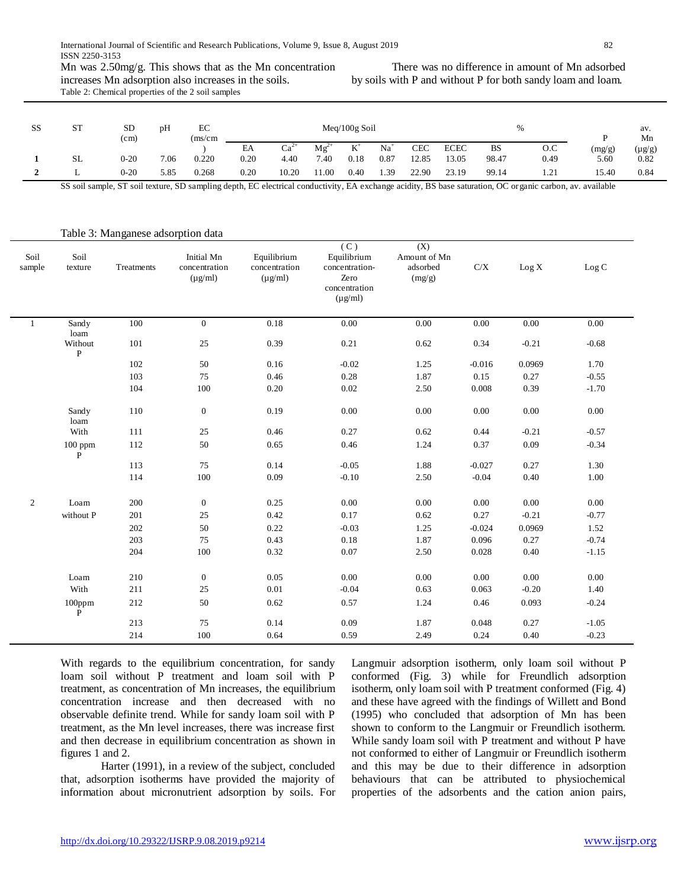increases Mn adsorption also increases in the soils. Table 2: Chemical properties of the 2 soil samples

There was no difference in amount of Mn adsorbed by soils with P and without P for both sandy loam and loam.

| SS | <b>ST</b> | <b>SD</b><br>(c <sub>m</sub> ) | pH   | EC<br>(ms/cm) |      |        |           | $Meq/100g$ Soil |           |       |             |           | 0/           |        | av.<br>Mn   |
|----|-----------|--------------------------------|------|---------------|------|--------|-----------|-----------------|-----------|-------|-------------|-----------|--------------|--------|-------------|
|    |           |                                |      |               | EA   | $Ca^2$ | $Mg^{2+}$ | $V^+$<br>v.     | $Na+$     | CEC   | <b>ECEC</b> | <b>BS</b> | O.C          | (mg/g) | $(\mu g/g)$ |
|    | <b>SL</b> | $0 - 20$                       | 7.06 | 0.220         | 0.20 | 4.40   | 7.40      | 0.18            | $_{0.87}$ | 12.85 | 13.05       | 98.47     | 0.49         | 5.60   | 0.82        |
|    |           | $0 - 20$                       | 5.85 | 0.268         | 0.20 | 10.20  | 11.00     | 0.40            | 1.39      | 22.90 | 23.19       | 99.14     | 1.21<br>1.41 | 15.40  | 0.84        |

SS soil sample, ST soil texture, SD sampling depth, EC electrical conductivity, EA exchange acidity, BS base saturation, OC organic carbon, av. available

 $\sqrt{2}$ 

| Soil<br>sample | Soil<br>texture        | Treatments | Initial Mn<br>concentration<br>$(\mu g/ml)$ | Equilibrium<br>concentration<br>$(\mu g/ml)$ | (C)<br>Equilibrium<br>concentration-<br>Zero<br>concentration<br>$(\mu g/ml)$ | (X)<br>Amount of Mn<br>adsorbed<br>(mg/g) | $\rm C/X$ | Log X    | Log C   |
|----------------|------------------------|------------|---------------------------------------------|----------------------------------------------|-------------------------------------------------------------------------------|-------------------------------------------|-----------|----------|---------|
| $\mathbf{1}$   | Sandy<br>loam          | 100        | $\theta$                                    | 0.18                                         | 0.00                                                                          | 0.00                                      | 0.00      | 0.00     | 0.00    |
|                | Without<br>${\bf P}$   | 101        | 25                                          | 0.39                                         | 0.21                                                                          | 0.62                                      | 0.34      | $-0.21$  | $-0.68$ |
|                |                        | 102        | $50\,$                                      | $0.16\,$                                     | $-0.02$                                                                       | 1.25                                      | $-0.016$  | 0.0969   | 1.70    |
|                |                        | 103        | 75                                          | 0.46                                         | 0.28                                                                          | 1.87                                      | 0.15      | 0.27     | $-0.55$ |
|                |                        | 104        | 100                                         | $0.20\,$                                     | 0.02                                                                          | 2.50                                      | 0.008     | 0.39     | $-1.70$ |
|                | Sandy<br>loam          | 110        | $\boldsymbol{0}$                            | 0.19                                         | 0.00                                                                          | 0.00                                      | 0.00      | 0.00     | 0.00    |
|                | With                   | 111        | $25\,$                                      | 0.46                                         | 0.27                                                                          | 0.62                                      | 0.44      | $-0.21$  | $-0.57$ |
|                | 100 ppm<br>${\bf P}$   | 112        | 50                                          | 0.65                                         | 0.46                                                                          | 1.24                                      | 0.37      | 0.09     | $-0.34$ |
|                |                        | 113        | 75                                          | 0.14                                         | $-0.05$                                                                       | 1.88                                      | $-0.027$  | 0.27     | 1.30    |
|                |                        | 114        | 100                                         | 0.09                                         | $-0.10$                                                                       | 2.50                                      | $-0.04$   | 0.40     | 1.00    |
| $\overline{c}$ | Loam                   | 200        | $\boldsymbol{0}$                            | 0.25                                         | 0.00                                                                          | 0.00                                      | 0.00      | 0.00     | 0.00    |
|                | without P              | 201        | 25                                          | 0.42                                         | 0.17                                                                          | 0.62                                      | 0.27      | $-0.21$  | $-0.77$ |
|                |                        | 202        | $50\,$                                      | 0.22                                         | $-0.03$                                                                       | 1.25                                      | $-0.024$  | 0.0969   | 1.52    |
|                |                        | 203        | $75\,$                                      | 0.43                                         | 0.18                                                                          | 1.87                                      | 0.096     | 0.27     | $-0.74$ |
|                |                        | 204        | $100\,$                                     | 0.32                                         | 0.07                                                                          | 2.50                                      | 0.028     | 0.40     | $-1.15$ |
|                | Loam                   | 210        | $\mathbf{0}$                                | 0.05                                         | 0.00                                                                          | $0.00\,$                                  | 0.00      | $0.00\,$ | 0.00    |
|                | With                   | 211        | 25                                          | $0.01\,$                                     | $-0.04$                                                                       | 0.63                                      | 0.063     | $-0.20$  | 1.40    |
|                | 100ppm<br>$\mathbf{P}$ | 212        | 50                                          | 0.62                                         | 0.57                                                                          | 1.24                                      | 0.46      | 0.093    | $-0.24$ |
|                |                        | 213        | 75                                          | 0.14                                         | 0.09                                                                          | 1.87                                      | 0.048     | 0.27     | $-1.05$ |
|                |                        | 214        | 100                                         | 0.64                                         | 0.59                                                                          | 2.49                                      | 0.24      | 0.40     | $-0.23$ |

Table 3: Manganese adsorption data

With regards to the equilibrium concentration, for sandy loam soil without P treatment and loam soil with P treatment, as concentration of Mn increases, the equilibrium concentration increase and then decreased with no observable definite trend. While for sandy loam soil with P treatment, as the Mn level increases, there was increase first and then decrease in equilibrium concentration as shown in figures 1 and 2.

Harter (1991), in a review of the subject, concluded that, adsorption isotherms have provided the majority of information about micronutrient adsorption by soils. For Langmuir adsorption isotherm, only loam soil without P conformed (Fig. 3) while for Freundlich adsorption isotherm, only loam soil with P treatment conformed (Fig. 4) and these have agreed with the findings of Willett and Bond (1995) who concluded that adsorption of Mn has been shown to conform to the Langmuir or Freundlich isotherm. While sandy loam soil with P treatment and without P have not conformed to either of Langmuir or Freundlich isotherm and this may be due to their difference in adsorption behaviours that can be attributed to physiochemical properties of the adsorbents and the cation anion pairs,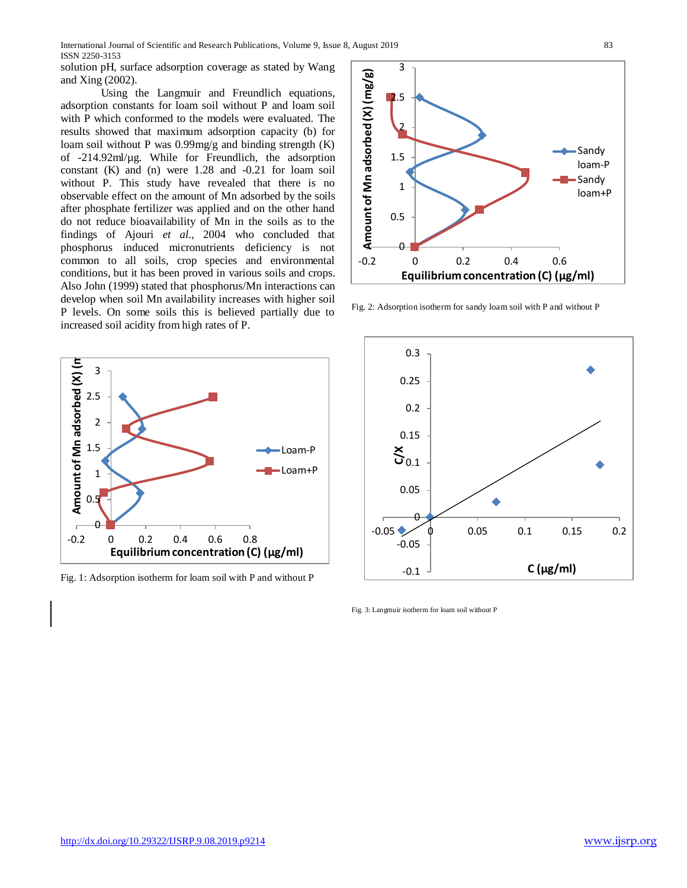solution pH, surface adsorption coverage as stated by Wang and Xing (2002).

Using the Langmuir and Freundlich equations, adsorption constants for loam soil without P and loam soil with P which conformed to the models were evaluated. The results showed that maximum adsorption capacity (b) for loam soil without P was 0.99mg/g and binding strength (K) of -214.92ml/µg. While for Freundlich, the adsorption constant (K) and (n) were 1.28 and -0.21 for loam soil without P. This study have revealed that there is no observable effect on the amount of Mn adsorbed by the soils after phosphate fertilizer was applied and on the other hand do not reduce bioavailability of Mn in the soils as to the findings of Ajouri *et al.,* 2004 who concluded that phosphorus induced micronutrients deficiency is not common to all soils, crop species and environmental conditions, but it has been proved in various soils and crops. Also John (1999) stated that phosphorus/Mn interactions can develop when soil Mn availability increases with higher soil P levels. On some soils this is believed partially due to increased soil acidity from high rates of P.



Fig. 1: Adsorption isotherm for loam soil with P and without P



Fig. 2: Adsorption isotherm for sandy loam soil with P and without P



Fig. 3: Langmuir isotherm for loam soil without P